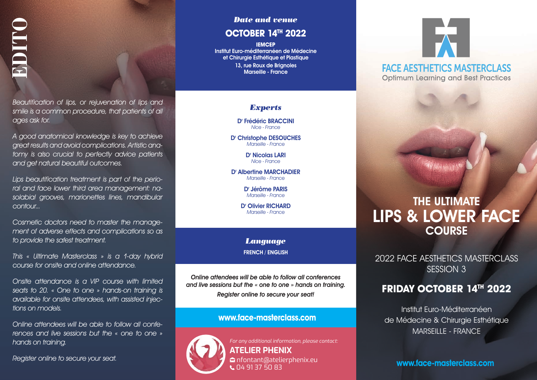*Beautification of lips, or rejuvenation of lips and smile is a common procedure, that patients of all ages ask for.* 

*A good anatomical knowledge is key to achieve great results and avoid complications. Artistic anatomy is also crucial to perfectly advice patients and get natural beautiful outcomes.*  **Requification of lips, or rejuvending the securification of lips, or rejuvending the season of proceedure, the ages ask for.<br>A good anatomical knowledge is great results and avoid complication of grient results and avoid** 

*Lips beautification treatment is part of the perioral and face lower third area management: nasolabial grooves, marionettes lines, mandibular contour...* 

*Cosmetic doctors need to master the management of adverse effects and complications so as to provide the safest treatment.* 

*This « Ultimate Masterclass » is a 1-day hybrid course for onsite and online attendance.* 

*Onsite attendance is a VIP course with limited seats to 20. « One to one » hands-on training is available for onsite attendees, with assisted injections on models.*

*Online attendees will be able to follow all conferences and live sessions but the « one to one » hands on training.* 

#### *Date and venue*

#### **OCTOBER 14TH 2022**

**IEMCEP** Institut Euro-méditerranéen de Médecine et Chirurgie Esthétique et Plastique 13, rue Roux de Brianoles Marseille - France

#### *Experts*

D' Frédéric BRACCINI *Nice - France* 

D' Christophe DESOUCHES *Marseille - France*

> Dr Nicolas LARI *Nice - France*

D' Albertine MARCHADIER *Marseille - France*

> Dr Jérôme PARIS *Marseille - France*

D' Olivier RICHARD *Marseille - France*

*Language* FRENCH / ENGLISH

*Online attendees will be able to follow all conferences and live sessions but the « one to one » hands on training. Register online to secure your seat!*

#### **www.face-masterclass.com**



*For any additional information, please contact:* **ATELIER PHENIX** M nfontant@atelierphenix.eu **L** 04 91 37 50 83

# **FACE AFSTHETICS MASTERCI ASS Optimum Learning and Best Practices**

## THE ULTIMATE LIPS & LOWER FACE **COURSE**

2022 FACE AESTHETICS MASTERCLASS SESSION 3

### **FRIDAY OCTOBER 14TH 2022**

Institut Euro-Méditerranéen de Médecine & Chirurgie Esthétique MARSEILLE - FRANCE

**www.face-masterclass.com**